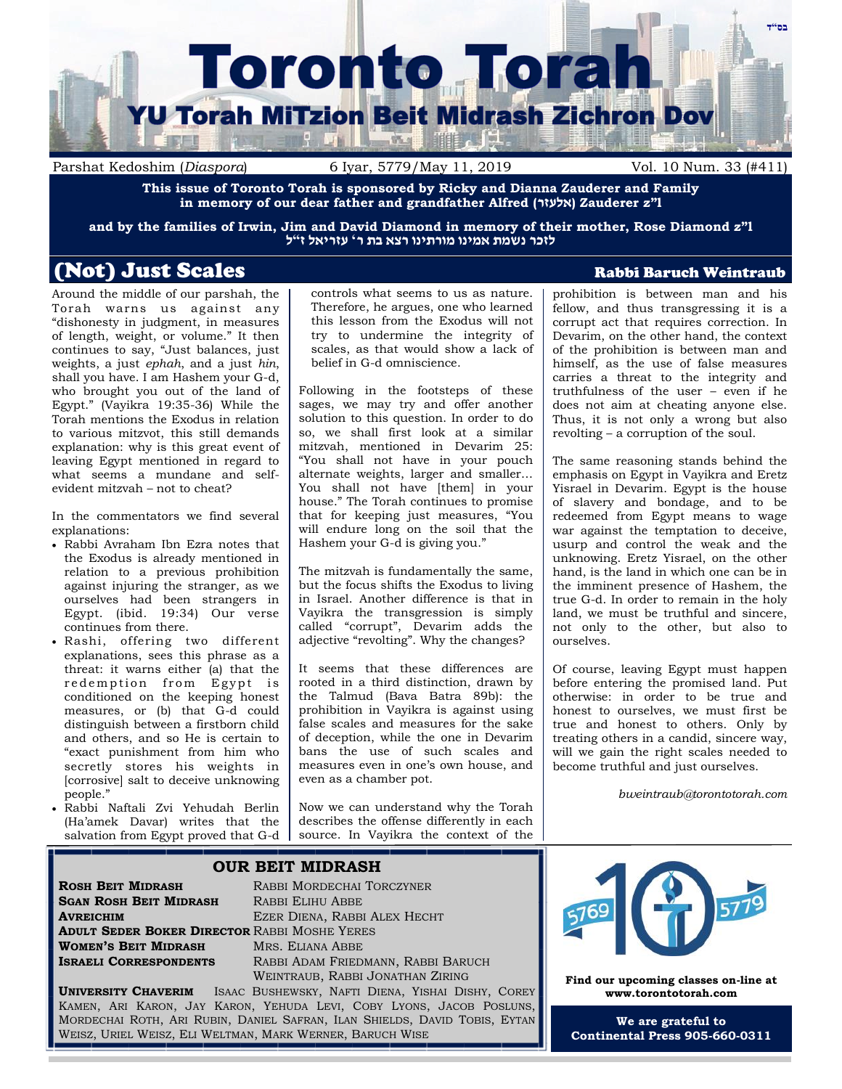

Parshat Kedoshim (*Diaspora*) 6 Iyar, 5779/May 11, 2019 Vol. 10 Num. 33 (#411)

**This issue of Toronto Torah is sponsored by Ricky and Dianna Zauderer and Family in memory of our dear father and grandfather Alfred (אלעזר (Zauderer z"l**

**and by the families of Irwin, Jim and David Diamond in memory of their mother, Rose Diamond z"l לזכר נשמת אמינו מורתינו רצא בת ר' עזריאל ז"ל**

# (Not) Just Scales Rabbi Baruch Weintraub

Around the middle of our parshah, the Torah warns us against any "dishonesty in judgment, in measures of length, weight, or volume." It then continues to say, "Just balances, just weights, a just *ephah*, and a just *hin*, shall you have. I am Hashem your G-d, who brought you out of the land of Egypt." (Vayikra 19:35-36) While the Torah mentions the Exodus in relation to various mitzvot, this still demands explanation: why is this great event of leaving Egypt mentioned in regard to what seems a mundane and selfevident mitzvah – not to cheat?

In the commentators we find several explanations:

- Rabbi Avraham Ibn Ezra notes that the Exodus is already mentioned in relation to a previous prohibition against injuring the stranger, as we ourselves had been strangers in Egypt. (ibid. 19:34) Our verse continues from there.
- Rashi, offering two different explanations, sees this phrase as a threat: it warns either (a) that the re demption from Egypt is conditioned on the keeping honest measures, or (b) that G-d could distinguish between a firstborn child and others, and so He is certain to "exact punishment from him who secretly stores his weights in [corrosive] salt to deceive unknowing people."
- Rabbi Naftali Zvi Yehudah Berlin (Ha'amek Davar) writes that the salvation from Egypt proved that G-d

controls what seems to us as nature. Therefore, he argues, one who learned this lesson from the Exodus will not try to undermine the integrity of scales, as that would show a lack of belief in G-d omniscience.

Following in the footsteps of these sages, we may try and offer another solution to this question. In order to do so, we shall first look at a similar mitzvah, mentioned in Devarim 25: "You shall not have in your pouch alternate weights, larger and smaller… You shall not have [them] in your house." The Torah continues to promise that for keeping just measures, "You will endure long on the soil that the Hashem your G-d is giving you."

The mitzvah is fundamentally the same, but the focus shifts the Exodus to living in Israel. Another difference is that in Vayikra the transgression is simply called "corrupt", Devarim adds the adjective "revolting". Why the changes?

It seems that these differences are rooted in a third distinction, drawn by the Talmud (Bava Batra 89b): the prohibition in Vayikra is against using false scales and measures for the sake of deception, while the one in Devarim bans the use of such scales and measures even in one's own house, and even as a chamber pot.

Now we can understand why the Torah describes the offense differently in each source. In Vayikra the context of the

prohibition is between man and his fellow, and thus transgressing it is a corrupt act that requires correction. In Devarim, on the other hand, the context of the prohibition is between man and himself, as the use of false measures carries a threat to the integrity and truthfulness of the user – even if he does not aim at cheating anyone else. Thus, it is not only a wrong but also revolting – a corruption of the soul.

The same reasoning stands behind the emphasis on Egypt in Vayikra and Eretz Yisrael in Devarim. Egypt is the house of slavery and bondage, and to be redeemed from Egypt means to wage war against the temptation to deceive, usurp and control the weak and the unknowing. Eretz Yisrael, on the other hand, is the land in which one can be in the imminent presence of Hashem, the true G-d. In order to remain in the holy land, we must be truthful and sincere, not only to the other, but also to ourselves.

Of course, leaving Egypt must happen before entering the promised land. Put otherwise: in order to be true and honest to ourselves, we must first be true and honest to others. Only by treating others in a candid, sincere way, will we gain the right scales needed to become truthful and just ourselves.

*bweintraub@torontotorah.com*

### **OUR BEIT MIDRASH**

**ROSH BEIT MIDRASH** RABBI MORDECHAI TORCZYNER **SGAN ROSH BEIT MIDRASH** RABBI ELIHU ABBE **AVREICHIM** EZER DIENA, RABBI ALEX HECHT **ADULT SEDER BOKER DIRECTOR** RABBI MOSHE YERES **WOMEN'S BEIT MIDRASH** MRS. ELIANA ABBE

**RABBI ADAM FRIEDMANN, RABBI BARUCH** WEINTRAUB, RABBI JONATHAN ZIRING

**UNIVERSITY CHAVERIM** ISAAC BUSHEWSKY, NAFTI DIENA, YISHAI DISHY, COREY KAMEN, ARI KARON, JAY KARON, YEHUDA LEVI, COBY LYONS, JACOB POSLUNS, MORDECHAI ROTH, ARI RUBIN, DANIEL SAFRAN, ILAN SHIELDS, DAVID TOBIS, EYTAN WEISZ, URIEL WEISZ, ELI WELTMAN, MARK WERNER, BARUCH WISE



**Find our upcoming classes on-line at www.torontotorah.com**

**We are grateful to Continental Press 905-660-0311**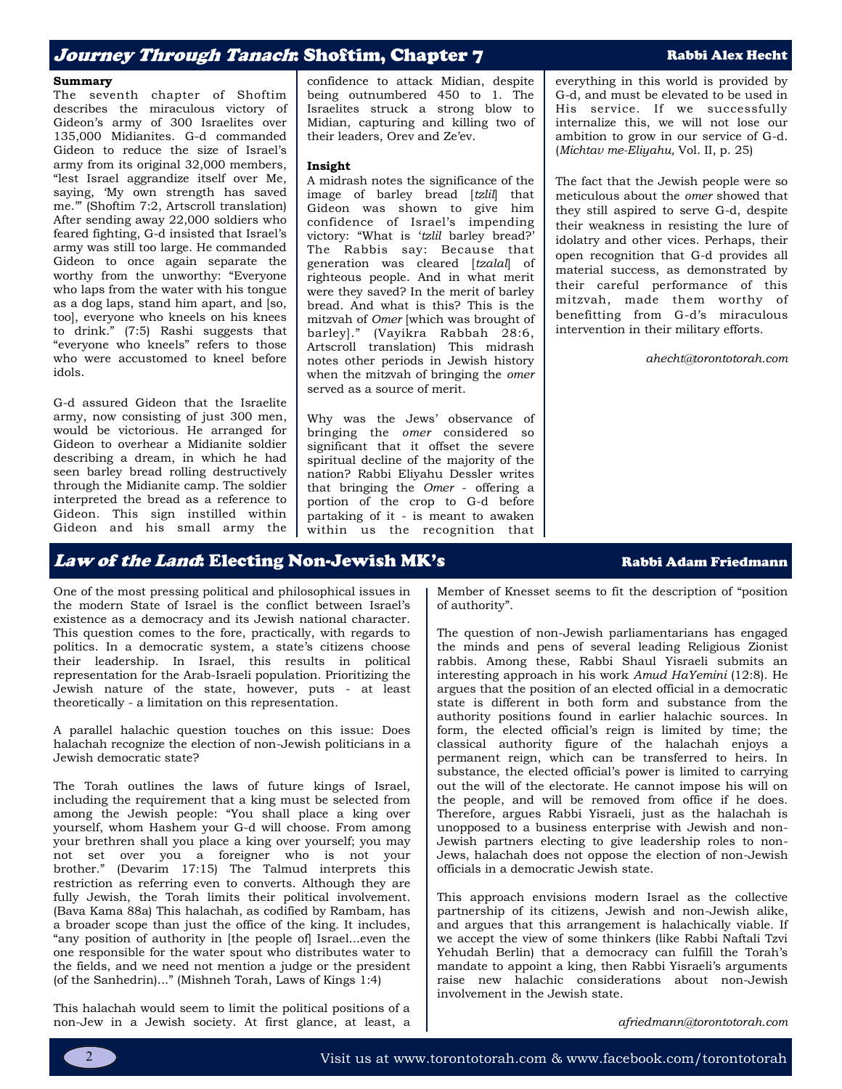## Jo*urney Through Tanach*: Shoftim, Chapter 7 Rabbi Alex Hecht

#### **Summary**

The seventh chapter of Shoftim describes the miraculous victory of Gideon's army of 300 Israelites over 135,000 Midianites. G-d commanded Gideon to reduce the size of Israel's army from its original 32,000 members, "lest Israel aggrandize itself over Me, saying, 'My own strength has saved me.'" (Shoftim 7:2, Artscroll translation) After sending away 22,000 soldiers who feared fighting, G-d insisted that Israel's army was still too large. He commanded Gideon to once again separate the worthy from the unworthy: "Everyone who laps from the water with his tongue as a dog laps, stand him apart, and [so, too], everyone who kneels on his knees to drink." (7:5) Rashi suggests that "everyone who kneels" refers to those who were accustomed to kneel before idols.

G-d assured Gideon that the Israelite army, now consisting of just 300 men, would be victorious. He arranged for Gideon to overhear a Midianite soldier describing a dream, in which he had seen barley bread rolling destructively through the Midianite camp. The soldier interpreted the bread as a reference to Gideon. This sign instilled within Gideon and his small army the confidence to attack Midian, despite being outnumbered 450 to 1. The Israelites struck a strong blow to Midian, capturing and killing two of their leaders, Orev and Ze'ev.

#### **Insight**

A midrash notes the significance of the image of barley bread [*tzlil*] that Gideon was shown to give him confidence of Israel's impending victory: "What is '*tzlil* barley bread?' The Rabbis say: Because that generation was cleared [*tzalal*] of righteous people. And in what merit were they saved? In the merit of barley bread. And what is this? This is the mitzvah of *Omer* [which was brought of barley]." (Vayikra Rabbah 28:6, Artscroll translation) This midrash notes other periods in Jewish history when the mitzvah of bringing the *omer*  served as a source of merit.

Why was the Jews' observance of bringing the *omer* considered so significant that it offset the severe spiritual decline of the majority of the nation? Rabbi Eliyahu Dessler writes that bringing the *Omer* - offering a portion of the crop to G-d before partaking of it - is meant to awaken within us the recognition that everything in this world is provided by G-d, and must be elevated to be used in His service. If we successfully internalize this, we will not lose our ambition to grow in our service of G-d. (*Michtav me-Eliyahu,* Vol. II, p. 25)

The fact that the Jewish people were so meticulous about the *omer* showed that they still aspired to serve G-d, despite their weakness in resisting the lure of idolatry and other vices. Perhaps, their open recognition that G-d provides all material success, as demonstrated by their careful performance of this mitzvah, made them worthy of benefitting from G-d's miraculous intervention in their military efforts.

*ahecht@torontotorah.com*

## Law of the Land: Electing Non-Jewish MK's Rabbi Adam Friedmann

One of the most pressing political and philosophical issues in the modern State of Israel is the conflict between Israel's existence as a democracy and its Jewish national character. This question comes to the fore, practically, with regards to politics. In a democratic system, a state's citizens choose their leadership. In Israel, this results in political representation for the Arab-Israeli population. Prioritizing the Jewish nature of the state, however, puts - at least theoretically - a limitation on this representation.

A parallel halachic question touches on this issue: Does halachah recognize the election of non-Jewish politicians in a Jewish democratic state?

The Torah outlines the laws of future kings of Israel, including the requirement that a king must be selected from among the Jewish people: "You shall place a king over yourself, whom Hashem your G-d will choose. From among your brethren shall you place a king over yourself; you may not set over you a foreigner who is not your brother." (Devarim 17:15) The Talmud interprets this restriction as referring even to converts. Although they are fully Jewish, the Torah limits their political involvement. (Bava Kama 88a) This halachah, as codified by Rambam, has a broader scope than just the office of the king. It includes, "any position of authority in [the people of] Israel...even the one responsible for the water spout who distributes water to the fields, and we need not mention a judge or the president (of the Sanhedrin)..." (Mishneh Torah, Laws of Kings 1:4)

This halachah would seem to limit the political positions of a non-Jew in a Jewish society. At first glance, at least, a Member of Knesset seems to fit the description of "position of authority".

The question of non-Jewish parliamentarians has engaged the minds and pens of several leading Religious Zionist rabbis. Among these, Rabbi Shaul Yisraeli submits an interesting approach in his work *Amud HaYemini* (12:8). He argues that the position of an elected official in a democratic state is different in both form and substance from the authority positions found in earlier halachic sources. In form, the elected official's reign is limited by time; the classical authority figure of the halachah enjoys a permanent reign, which can be transferred to heirs. In substance, the elected official's power is limited to carrying out the will of the electorate. He cannot impose his will on the people, and will be removed from office if he does. Therefore, argues Rabbi Yisraeli, just as the halachah is unopposed to a business enterprise with Jewish and non-Jewish partners electing to give leadership roles to non-Jews, halachah does not oppose the election of non-Jewish officials in a democratic Jewish state.

This approach envisions modern Israel as the collective partnership of its citizens, Jewish and non-Jewish alike, and argues that this arrangement is halachically viable. If we accept the view of some thinkers (like Rabbi Naftali Tzvi Yehudah Berlin) that a democracy can fulfill the Torah's mandate to appoint a king, then Rabbi Yisraeli's arguments raise new halachic considerations about non-Jewish involvement in the Jewish state.

*afriedmann@torontotorah.com*

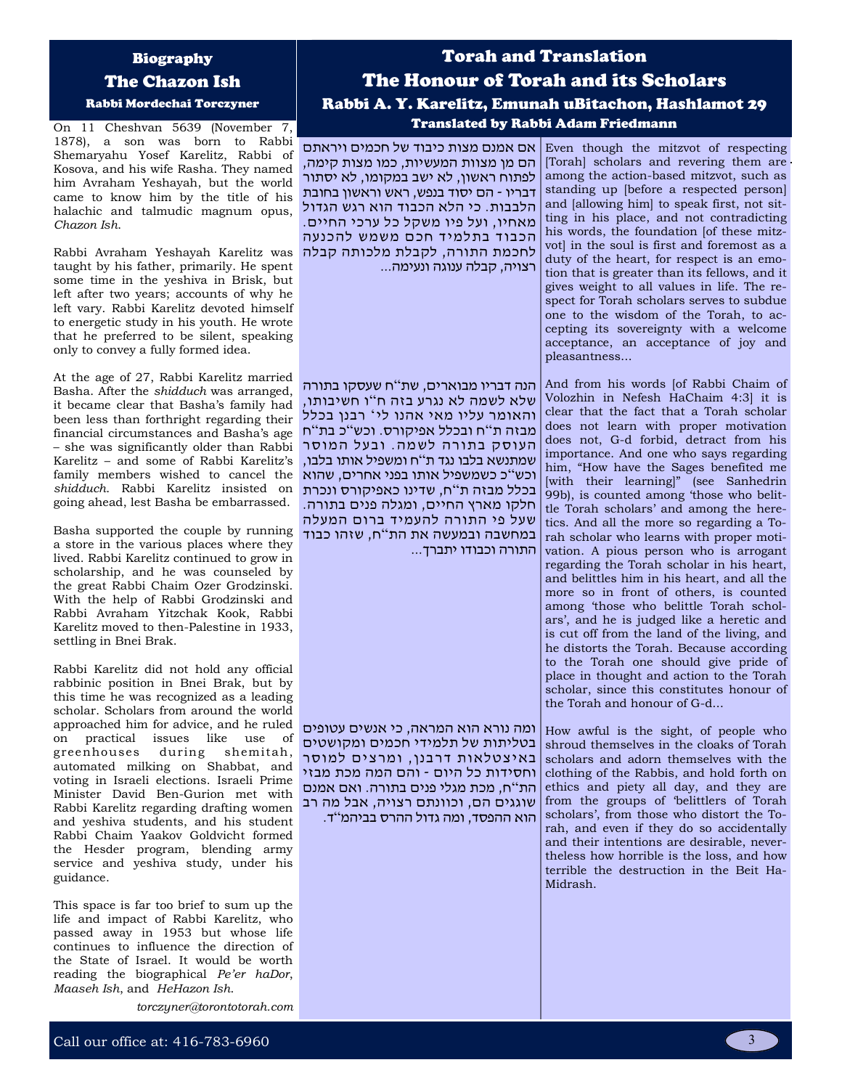### Biography

The Chazon Ish

Rabbi Mordechai Torczyner

On 11 Cheshvan 5639 (November 7, 1878), a son was born to Rabbi Shemaryahu Yosef Karelitz, Rabbi of Kosova, and his wife Rasha. They named him Avraham Yeshayah, but the world came to know him by the title of his halachic and talmudic magnum opus, *Chazon Ish*.

Rabbi Avraham Yeshayah Karelitz was taught by his father, primarily. He spent some time in the yeshiva in Brisk, but left after two years; accounts of why he left vary. Rabbi Karelitz devoted himself to energetic study in his youth. He wrote that he preferred to be silent, speaking only to convey a fully formed idea.

At the age of 27, Rabbi Karelitz married Basha. After the *shidduch* was arranged, it became clear that Basha's family had been less than forthright regarding their financial circumstances and Basha's age – she was significantly older than Rabbi Karelitz – and some of Rabbi Karelitz's family members wished to cancel the *shidduch*. Rabbi Karelitz insisted on going ahead, lest Basha be embarrassed.

Basha supported the couple by running a store in the various places where they lived. Rabbi Karelitz continued to grow in scholarship, and he was counseled by the great Rabbi Chaim Ozer Grodzinski. With the help of Rabbi Grodzinski and Rabbi Avraham Yitzchak Kook, Rabbi Karelitz moved to then-Palestine in 1933, settling in Bnei Brak.

Rabbi Karelitz did not hold any official rabbinic position in Bnei Brak, but by this time he was recognized as a leading scholar. Scholars from around the world approached him for advice, and he ruled on practical issues like use of greenhouses during shemitah, automated milking on Shabbat, and voting in Israeli elections. Israeli Prime Minister David Ben-Gurion met with Rabbi Karelitz regarding drafting women and yeshiva students, and his student Rabbi Chaim Yaakov Goldvicht formed the Hesder program, blending army service and yeshiva study, under his guidance.

This space is far too brief to sum up the life and impact of Rabbi Karelitz, who passed away in 1953 but whose life continues to influence the direction of the State of Israel. It would be worth reading the biographical *Pe'er haDor*, *Maaseh Ish*, and *HeHazon Ish*.

*torczyner@torontotorah.com*

# Torah and Translation The Honour of Torah and its Scholars Rabbi A. Y. Karelitz, Emunah uBitachon, Hashlamot 29 Translated by Rabbi Adam Friedmann

הם מן מצוות המעשיות, כמו מצות קימה, לפתוח ראשון, לא ישב במקומו, לא יסתור דבריו - הם יסוד בנפש, ראש וראשון בחובת הלבבות. כי הלא הכבוד הוא רגש הגדול מאחיו, ועל פיו משקל כל ערכי החיים. הכבוד בתלמיד חכם משמש להכנעה לחכמת התורה, לקבלת מלכותה קבלה רצויה, קבלה ענוגה ונעימה...

הנה דבריו מבוארים, שת " ח שעסקו בתורה שלא לשמה לא נגרע בזה ח"ו חשיבותו, והאומר עליו מאי אהנו לי ' רבנן בכלל מבזה ת " ח ובכלל אפיקורס. וכש " כ בת " ח העוסק בתורה לשמה. ובעל המוסר שמתנשא בלבו נגד ת"ח ומשפיל אותו בלבו, וכש " כ כשמשפיל אותו בפני אחרים, שהוא בכלל מבזה ת"ח, שדינו כאפיקורס ונכרת חלקו מארץ החיים, ומגלה פנים בתורה. שעל פי התורה להעמיד ברום המעלה במחשבה ובמעשה את הת"ח, שזהו כבוד התורה וכבודו יתברך...

ומה נורא הוא המראה, כי אנשים עטופים בטליתות של תלמידי חכמים ומקושטים באיצטלאות דרבנן, ומרצים למוסר וחסידות כל היום - והם המה מכת מבזי הת " ח, מכת מגלי פנים בתורה. ואם אמנם שוגגים הם, וכוונתם רצויה, אבל מה רב הוא ההפסד, ומה גדול ההרס בביהמ"ד.

Even though the mitzvot of respecting אם אמנם מצות כיבוד של חכמים ויראתם [Torah] scholars and revering them are among the action-based mitzvot, such as standing up [before a respected person] and [allowing him] to speak first, not sitting in his place, and not contradicting his words, the foundation [of these mitzvot] in the soul is first and foremost as a duty of the heart, for respect is an emotion that is greater than its fellows, and it gives weight to all values in life. The respect for Torah scholars serves to subdue one to the wisdom of the Torah, to accepting its sovereignty with a welcome acceptance, an acceptance of joy and pleasantness...

> And from his words [of Rabbi Chaim of Volozhin in Nefesh HaChaim 4:3] it is clear that the fact that a Torah scholar does not learn with proper motivation does not, G-d forbid, detract from his importance. And one who says regarding him, "How have the Sages benefited me [with their learning]" (see Sanhedrin 99b), is counted among 'those who belittle Torah scholars' and among the heretics. And all the more so regarding a Torah scholar who learns with proper motivation. A pious person who is arrogant regarding the Torah scholar in his heart, and belittles him in his heart, and all the more so in front of others, is counted among 'those who belittle Torah scholars', and he is judged like a heretic and is cut off from the land of the living, and he distorts the Torah. Because according to the Torah one should give pride of place in thought and action to the Torah scholar, since this constitutes honour of the Torah and honour of G-d...

> How awful is the sight, of people who shroud themselves in the cloaks of Torah scholars and adorn themselves with the clothing of the Rabbis, and hold forth on ethics and piety all day, and they are from the groups of 'belittlers of Torah scholars', from those who distort the Torah, and even if they do so accidentally and their intentions are desirable, nevertheless how horrible is the loss, and how terrible the destruction in the Beit Ha-Midrash.